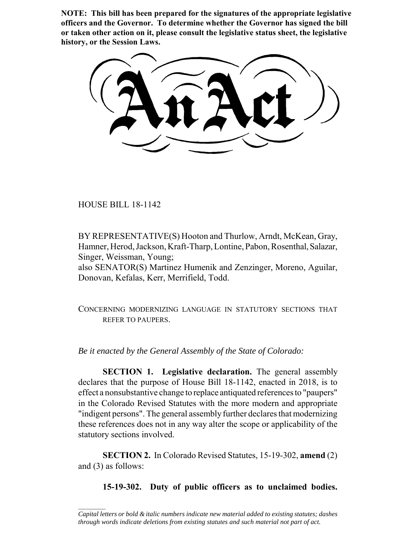**NOTE: This bill has been prepared for the signatures of the appropriate legislative officers and the Governor. To determine whether the Governor has signed the bill or taken other action on it, please consult the legislative status sheet, the legislative history, or the Session Laws.**

HOUSE BILL 18-1142

 $\frac{1}{2}$ 

BY REPRESENTATIVE(S) Hooton and Thurlow, Arndt, McKean, Gray, Hamner, Herod, Jackson, Kraft-Tharp, Lontine, Pabon, Rosenthal, Salazar, Singer, Weissman, Young;

also SENATOR(S) Martinez Humenik and Zenzinger, Moreno, Aguilar, Donovan, Kefalas, Kerr, Merrifield, Todd.

CONCERNING MODERNIZING LANGUAGE IN STATUTORY SECTIONS THAT REFER TO PAUPERS.

*Be it enacted by the General Assembly of the State of Colorado:*

**SECTION 1. Legislative declaration.** The general assembly declares that the purpose of House Bill 18-1142, enacted in 2018, is to effect a nonsubstantive change to replace antiquated references to "paupers" in the Colorado Revised Statutes with the more modern and appropriate "indigent persons". The general assembly further declares that modernizing these references does not in any way alter the scope or applicability of the statutory sections involved.

**SECTION 2.** In Colorado Revised Statutes, 15-19-302, **amend** (2) and (3) as follows:

**15-19-302. Duty of public officers as to unclaimed bodies.**

*Capital letters or bold & italic numbers indicate new material added to existing statutes; dashes through words indicate deletions from existing statutes and such material not part of act.*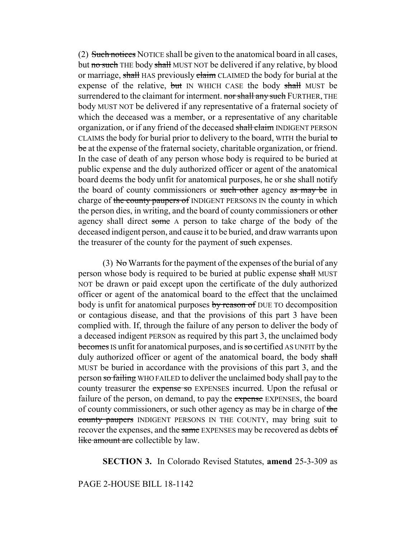(2) Such notices NOTICE shall be given to the anatomical board in all cases, but no such THE body shall MUST NOT be delivered if any relative, by blood or marriage, shall HAS previously claim CLAIMED the body for burial at the expense of the relative, but IN WHICH CASE the body shall MUST be surrendered to the claimant for interment. nor shall any such FURTHER, THE body MUST NOT be delivered if any representative of a fraternal society of which the deceased was a member, or a representative of any charitable organization, or if any friend of the deceased shall claim INDIGENT PERSON CLAIMS the body for burial prior to delivery to the board, WITH the burial to be at the expense of the fraternal society, charitable organization, or friend. In the case of death of any person whose body is required to be buried at public expense and the duly authorized officer or agent of the anatomical board deems the body unfit for anatomical purposes, he or she shall notify the board of county commissioners or such other agency as may be in charge of the county paupers of INDIGENT PERSONS IN the county in which the person dies, in writing, and the board of county commissioners or other agency shall direct some A person to take charge of the body of the deceased indigent person, and cause it to be buried, and draw warrants upon the treasurer of the county for the payment of such expenses.

(3) No Warrants for the payment of the expenses of the burial of any person whose body is required to be buried at public expense shall MUST NOT be drawn or paid except upon the certificate of the duly authorized officer or agent of the anatomical board to the effect that the unclaimed body is unfit for anatomical purposes by reason of DUE TO decomposition or contagious disease, and that the provisions of this part 3 have been complied with. If, through the failure of any person to deliver the body of a deceased indigent PERSON as required by this part 3, the unclaimed body becomes IS unfit for anatomical purposes, and is so certified AS UNFIT by the duly authorized officer or agent of the anatomical board, the body shall MUST be buried in accordance with the provisions of this part 3, and the person so failing WHO FAILED to deliver the unclaimed body shall pay to the county treasurer the expense so EXPENSES incurred. Upon the refusal or failure of the person, on demand, to pay the expense EXPENSES, the board of county commissioners, or such other agency as may be in charge of the county paupers INDIGENT PERSONS IN THE COUNTY, may bring suit to recover the expenses, and the same EXPENSES may be recovered as debts of like amount are collectible by law.

## **SECTION 3.** In Colorado Revised Statutes, **amend** 25-3-309 as

## PAGE 2-HOUSE BILL 18-1142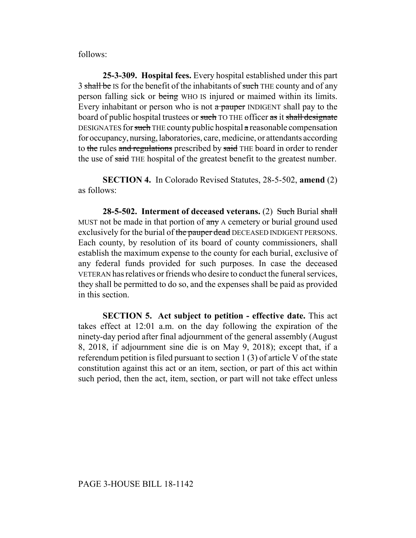follows:

**25-3-309. Hospital fees.** Every hospital established under this part 3 shall be IS for the benefit of the inhabitants of such THE county and of any person falling sick or being WHO IS injured or maimed within its limits. Every inhabitant or person who is not  $\alpha$  pauper INDIGENT shall pay to the board of public hospital trustees or such TO THE officer as it shall designate DESIGNATES for such THE county public hospital  $\alpha$  reasonable compensation for occupancy, nursing, laboratories, care, medicine, or attendants according to the rules and regulations prescribed by said THE board in order to render the use of said THE hospital of the greatest benefit to the greatest number.

**SECTION 4.** In Colorado Revised Statutes, 28-5-502, **amend** (2) as follows:

**28-5-502.** Interment of deceased veterans. (2) Such Burial shall MUST not be made in that portion of  $\frac{a_n}{b_n}$  A cemetery or burial ground used exclusively for the burial of the pauper dead DECEASED INDIGENT PERSONS. Each county, by resolution of its board of county commissioners, shall establish the maximum expense to the county for each burial, exclusive of any federal funds provided for such purposes. In case the deceased VETERAN has relatives or friends who desire to conduct the funeral services, they shall be permitted to do so, and the expenses shall be paid as provided in this section.

**SECTION 5. Act subject to petition - effective date.** This act takes effect at 12:01 a.m. on the day following the expiration of the ninety-day period after final adjournment of the general assembly (August 8, 2018, if adjournment sine die is on May 9, 2018); except that, if a referendum petition is filed pursuant to section 1  $(3)$  of article V of the state constitution against this act or an item, section, or part of this act within such period, then the act, item, section, or part will not take effect unless